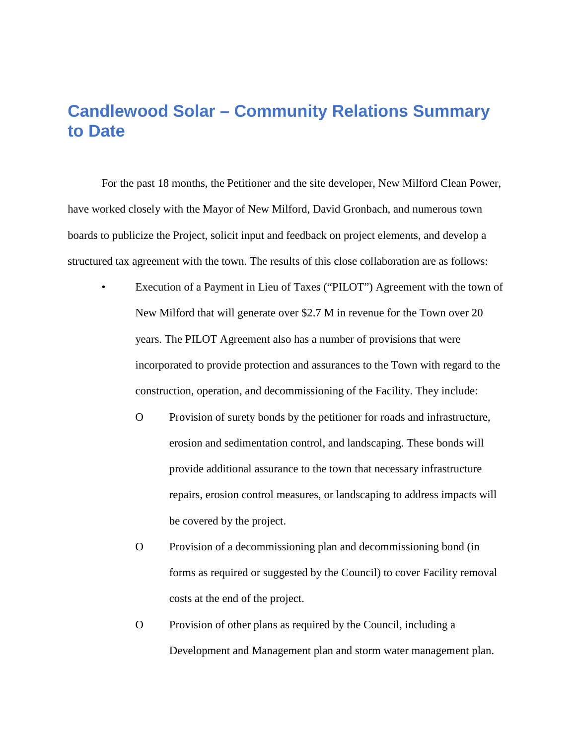## **Candlewood Solar – Community Relations Summary to Date**

For the past 18 months, the Petitioner and the site developer, New Milford Clean Power, have worked closely with the Mayor of New Milford, David Gronbach, and numerous town boards to publicize the Project, solicit input and feedback on project elements, and develop a structured tax agreement with the town. The results of this close collaboration are as follows:

- Execution of a Payment in Lieu of Taxes ("PILOT") Agreement with the town of New Milford that will generate over \$2.7 M in revenue for the Town over 20 years. The PILOT Agreement also has a number of provisions that were incorporated to provide protection and assurances to the Town with regard to the construction, operation, and decommissioning of the Facility. They include:
	- O Provision of surety bonds by the petitioner for roads and infrastructure, erosion and sedimentation control, and landscaping. These bonds will provide additional assurance to the town that necessary infrastructure repairs, erosion control measures, or landscaping to address impacts will be covered by the project.
	- O Provision of a decommissioning plan and decommissioning bond (in forms as required or suggested by the Council) to cover Facility removal costs at the end of the project.
	- O Provision of other plans as required by the Council, including a Development and Management plan and storm water management plan.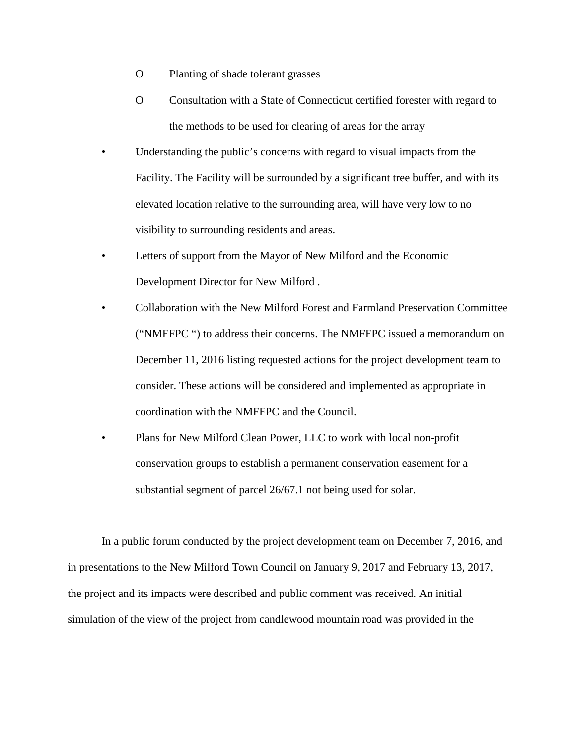- O Planting of shade tolerant grasses
- O Consultation with a State of Connecticut certified forester with regard to the methods to be used for clearing of areas for the array
- Understanding the public's concerns with regard to visual impacts from the Facility. The Facility will be surrounded by a significant tree buffer, and with its elevated location relative to the surrounding area, will have very low to no visibility to surrounding residents and areas.
- Letters of support from the Mayor of New Milford and the Economic Development Director for New Milford .
- Collaboration with the New Milford Forest and Farmland Preservation Committee ("NMFFPC ") to address their concerns. The NMFFPC issued a memorandum on December 11, 2016 listing requested actions for the project development team to consider. These actions will be considered and implemented as appropriate in coordination with the NMFFPC and the Council.
- Plans for New Milford Clean Power, LLC to work with local non-profit conservation groups to establish a permanent conservation easement for a substantial segment of parcel 26/67.1 not being used for solar.

In a public forum conducted by the project development team on December 7, 2016, and in presentations to the New Milford Town Council on January 9, 2017 and February 13, 2017, the project and its impacts were described and public comment was received. An initial simulation of the view of the project from candlewood mountain road was provided in the